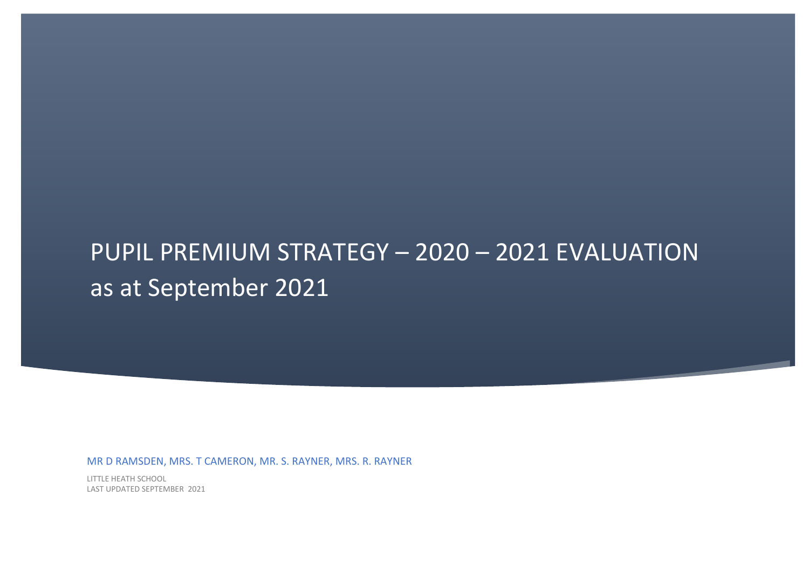# PUPIL PREMIUM STRATEGY – 2020 – 2021 EVALUATION as at September 2021

MR D RAMSDEN, MRS. T CAMERON, MR. S. RAYNER, MRS. R. RAYNER

LITTLE HEATH SCHOOL LAST UPDATED SEPTEMBER 2021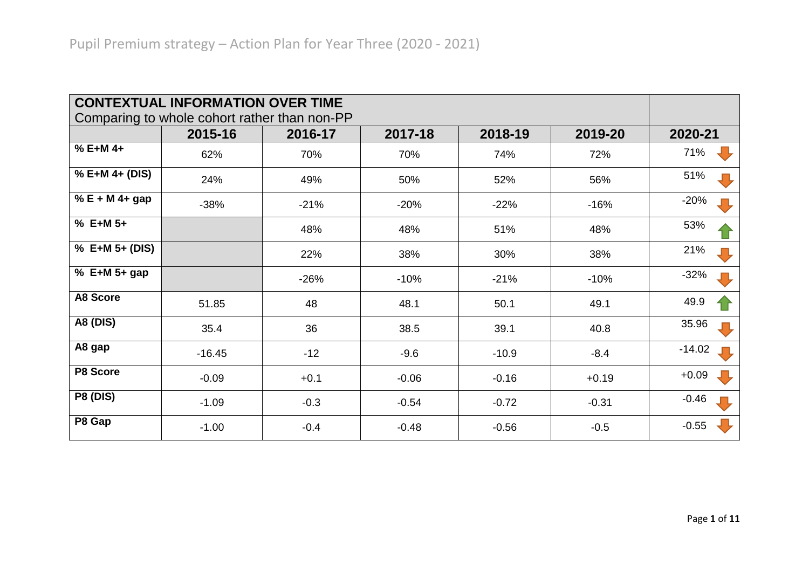| <b>CONTEXTUAL INFORMATION OVER TIME</b><br>Comparing to whole cohort rather than non-PP |          |                   |              |         |         |          |  |
|-----------------------------------------------------------------------------------------|----------|-------------------|--------------|---------|---------|----------|--|
|                                                                                         | 2015-16  | 2016-17           | 2017-18      | 2018-19 | 2019-20 | 2020-21  |  |
| % E+M 4+                                                                                | 62%      | 70%               | 70%<br>74%   |         | 72%     | 71%      |  |
| % E+M 4+ (DIS)                                                                          | 24%      | 49%               | 50%<br>52%   |         | 56%     | 51%      |  |
| % E + M 4+ gap                                                                          | $-38%$   | $-21%$            | $-20%$       | $-22%$  | $-16%$  | $-20%$   |  |
| % E+M 5+                                                                                |          | 48%               | 48%          | 51%     | 48%     | 53%      |  |
| % E+M 5+ (DIS)                                                                          |          | 22%               | 38%          | 30%     | 38%     | 21%      |  |
| % E+M 5+ gap                                                                            |          | $-26%$            | $-10%$       | $-21%$  | $-10%$  | $-32%$   |  |
| <b>A8 Score</b>                                                                         | 51.85    | 48                | 48.1<br>50.1 |         | 49.1    | 49.9     |  |
| <b>A8 (DIS)</b>                                                                         | 35.4     | 36                | 38.5         | 39.1    | 40.8    | 35.96    |  |
| A8 gap                                                                                  | $-16.45$ | $-12$             | $-9.6$       | $-10.9$ | $-8.4$  | $-14.02$ |  |
| P8 Score                                                                                | $-0.09$  | $+0.1$            | $-0.06$      | $-0.16$ | $+0.19$ | $+0.09$  |  |
| <b>P8 (DIS)</b>                                                                         | $-1.09$  | $-0.3$<br>$-0.54$ |              | $-0.72$ | $-0.31$ | $-0.46$  |  |
| P8 Gap                                                                                  | $-1.00$  | $-0.4$            | $-0.48$      | $-0.56$ | $-0.5$  | $-0.55$  |  |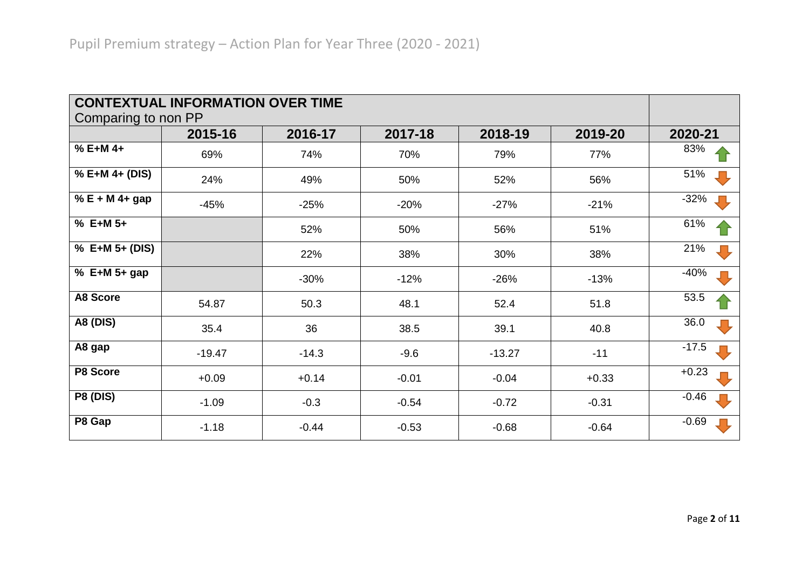| Comparing to non PP | <b>CONTEXTUAL INFORMATION OVER TIME</b> |                   |            |          |         |         |
|---------------------|-----------------------------------------|-------------------|------------|----------|---------|---------|
|                     | 2015-16                                 | 2016-17           | 2017-18    | 2018-19  | 2019-20 | 2020-21 |
| % E+M 4+            | 69%                                     | 74%               | 70%        | 79%      | 77%     | 83%     |
| % E+M 4+ (DIS)      | 24%                                     | 49%               | 50%<br>52% |          | 56%     | 51%     |
| % $E + M 4 + gap$   | $-45%$<br>$-25%$                        |                   | $-20%$     | $-27%$   | $-21%$  | $-32%$  |
| $% E+M 5+$          |                                         | 52%               | 50%        | 56%      | 51%     | 61%     |
| % E+M 5+ (DIS)      |                                         | 22%               | 38%        | 30%      | 38%     | 21%     |
| % E+M 5+ gap        |                                         | $-30%$            | $-12%$     | $-26%$   | $-13%$  | $-40%$  |
| <b>A8 Score</b>     | 54.87                                   | 50.3              | 48.1       | 52.4     | 51.8    | 53.5    |
| <b>A8 (DIS)</b>     | 35.4                                    | 36                | 38.5       | 39.1     | 40.8    | 36.0    |
| A8 gap              | $-19.47$                                | $-14.3$           | $-9.6$     | $-13.27$ | $-11$   | $-17.5$ |
| P8 Score            | $+0.09$<br>$+0.14$                      |                   | $-0.01$    | $-0.04$  | $+0.33$ | $+0.23$ |
| <b>P8 (DIS)</b>     | $-1.09$                                 | $-0.3$<br>$-0.54$ |            | $-0.72$  | $-0.31$ | $-0.46$ |
| P8 Gap              | $-1.18$                                 | $-0.44$           | $-0.53$    | $-0.68$  | $-0.64$ | $-0.69$ |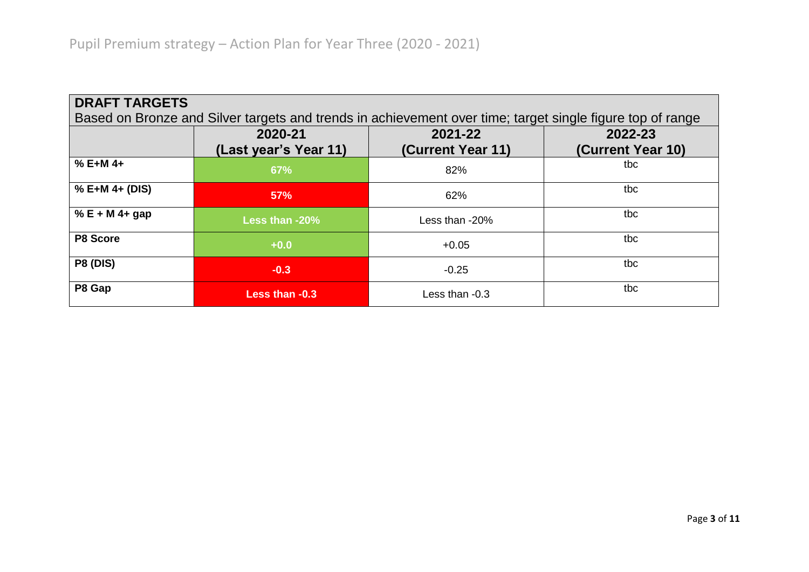| <b>DRAFT TARGETS</b><br>Based on Bronze and Silver targets and trends in achievement over time; target single figure top of range |                                  |                              |                              |  |  |  |
|-----------------------------------------------------------------------------------------------------------------------------------|----------------------------------|------------------------------|------------------------------|--|--|--|
|                                                                                                                                   | 2020-21<br>(Last year's Year 11) | 2021-22<br>(Current Year 11) | 2022-23<br>(Current Year 10) |  |  |  |
| $% E+M 4+$                                                                                                                        | 67%                              | 82%                          | tbc                          |  |  |  |
| % E+M 4+ (DIS)                                                                                                                    | 57%                              | 62%                          | tbc                          |  |  |  |
| % $E + M$ 4+ gap                                                                                                                  | Less than -20%                   | Less than -20%               | tbc                          |  |  |  |
| P8 Score                                                                                                                          | $+0.0$                           | $+0.05$                      | tbc                          |  |  |  |
| <b>P8 (DIS)</b>                                                                                                                   | $-0.3$                           | $-0.25$                      | tbc                          |  |  |  |
| P8 Gap                                                                                                                            | Less than -0.3                   | Less than -0.3               | tbc                          |  |  |  |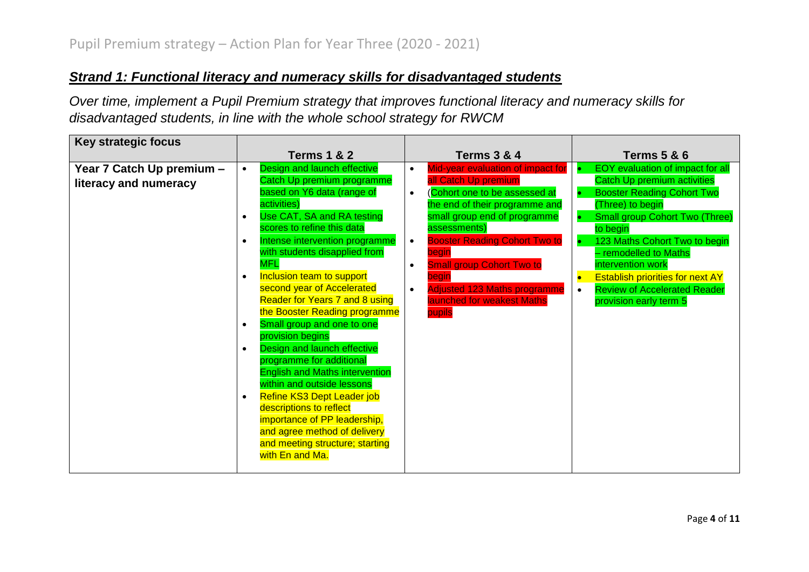### *Strand 1: Functional literacy and numeracy skills for disadvantaged students*

*Over time, implement a Pupil Premium strategy that improves functional literacy and numeracy skills for disadvantaged students, in line with the whole school strategy for RWCM*

| Key strategic focus       |           |                                       |           |                                      |           |                                         |
|---------------------------|-----------|---------------------------------------|-----------|--------------------------------------|-----------|-----------------------------------------|
|                           |           | <b>Terms 1 &amp; 2</b>                |           | <b>Terms 3 &amp; 4</b>               |           | <b>Terms 5 &amp; 6</b>                  |
| Year 7 Catch Up premium - | $\bullet$ | Design and launch effective           | $\bullet$ | Mid-year evaluation of impact for    |           | EOY evaluation of impact for all        |
| literacy and numeracy     |           | Catch Up premium programme            |           | all Catch Up premium                 |           | <b>Catch Up premium activities</b>      |
|                           |           | based on Y6 data (range of            | $\bullet$ | (Cohort one to be assessed at        |           | <b>Booster Reading Cohort Two</b>       |
|                           |           | activities)                           |           | the end of their programme and       |           | (Three) to begin                        |
|                           | $\bullet$ | Use CAT, SA and RA testing            |           | small group end of programme         |           | <b>Small group Cohort Two (Three)</b>   |
|                           |           | scores to refine this data            |           | assessments)                         |           | to begin                                |
|                           | $\bullet$ | Intense intervention programme        | $\bullet$ | <b>Booster Reading Cohort Two to</b> |           | 123 Maths Cohort Two to begin           |
|                           |           | with students disapplied from         |           | begin                                |           | - remodelled to Maths                   |
|                           |           | <b>MFL</b>                            | $\bullet$ | <b>Small group Cohort Two to</b>     |           | intervention work                       |
|                           | $\bullet$ | Inclusion team to support             |           | begin                                |           | <b>Establish priorities for next AY</b> |
|                           |           | second year of Accelerated            | $\bullet$ | <b>Adjusted 123 Maths programme</b>  | $\bullet$ | <b>Review of Accelerated Reader</b>     |
|                           |           | <b>Reader for Years 7 and 8 using</b> |           | launched for weakest Maths           |           | provision early term 5                  |
|                           |           | the Booster Reading programme         |           | pupils                               |           |                                         |
|                           | $\bullet$ | Small group and one to one            |           |                                      |           |                                         |
|                           |           | provision begins                      |           |                                      |           |                                         |
|                           | $\bullet$ | Design and launch effective           |           |                                      |           |                                         |
|                           |           | programme for additional              |           |                                      |           |                                         |
|                           |           | <b>English and Maths intervention</b> |           |                                      |           |                                         |
|                           |           | within and outside lessons            |           |                                      |           |                                         |
|                           | $\bullet$ | Refine KS3 Dept Leader job            |           |                                      |           |                                         |
|                           |           | descriptions to reflect               |           |                                      |           |                                         |
|                           |           | importance of PP leadership,          |           |                                      |           |                                         |
|                           |           | and agree method of delivery          |           |                                      |           |                                         |
|                           |           | and meeting structure; starting       |           |                                      |           |                                         |
|                           |           | with En and Ma.                       |           |                                      |           |                                         |
|                           |           |                                       |           |                                      |           |                                         |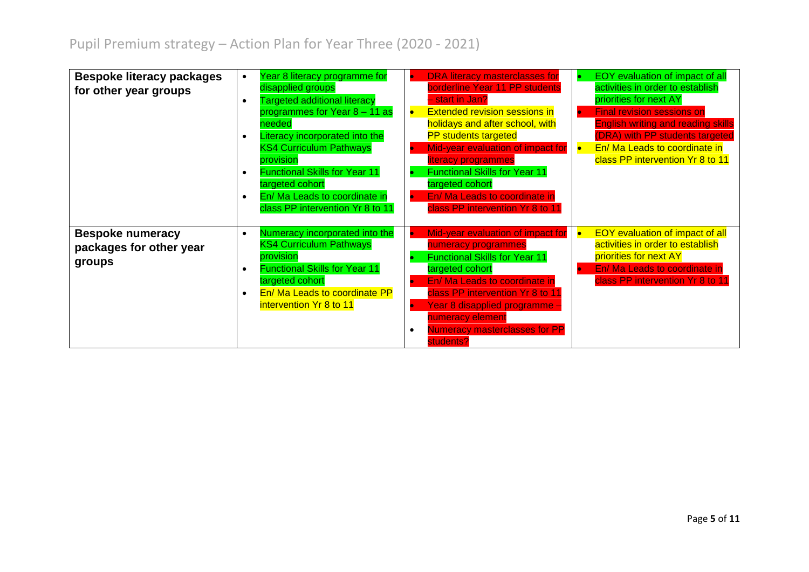| <b>Bespoke literacy packages</b><br>for other year groups    | $\bullet$<br>$\bullet$<br>$\bullet$<br>$\bullet$<br>$\bullet$ | Year 8 literacy programme for<br>disapplied groups<br><b>Targeted additional literacy</b><br>programmes for Year 8 - 11 as<br>needed<br>Literacy incorporated into the<br><b>KS4 Curriculum Pathways</b><br>provision<br><b>Functional Skills for Year 11</b><br>targeted cohort<br>En/ Ma Leads to coordinate in<br>class PP intervention Yr 8 to 11 | $\bullet$ | <b>DRA</b> literacy masterclasses for<br>borderline Year 11 PP students<br>- start in Jan?<br><b>Extended revision sessions in</b><br>holidays and after school, with<br><b>PP</b> students targeted<br>Mid-year evaluation of impact for<br>literacy programmes<br><b>Functional Skills for Year 11</b><br>targeted cohort<br>En/ Ma Leads to coordinate in<br>class PP intervention Yr 8 to 11 | EOY evaluation of impact of all<br>activities in order to establish<br>priorities for next AY<br><b>Final revision sessions on</b><br><b>English writing and reading skills</b><br>(DRA) with PP students targeted<br>En/ Ma Leads to coordinate in<br>class PP intervention Yr 8 to 11 |
|--------------------------------------------------------------|---------------------------------------------------------------|-------------------------------------------------------------------------------------------------------------------------------------------------------------------------------------------------------------------------------------------------------------------------------------------------------------------------------------------------------|-----------|--------------------------------------------------------------------------------------------------------------------------------------------------------------------------------------------------------------------------------------------------------------------------------------------------------------------------------------------------------------------------------------------------|-----------------------------------------------------------------------------------------------------------------------------------------------------------------------------------------------------------------------------------------------------------------------------------------|
| <b>Bespoke numeracy</b><br>packages for other year<br>groups | $\bullet$<br>$\bullet$<br>$\bullet$                           | Numeracy incorporated into the<br><b>KS4 Curriculum Pathways</b><br>provision<br><b>Functional Skills for Year 11</b><br>targeted cohort<br>En/ Ma Leads to coordinate PP<br>intervention Yr 8 to 11                                                                                                                                                  |           | Mid-year evaluation of impact for<br>numeracy programmes<br><b>Functional Skills for Year 11</b><br>targeted cohort<br>En/ Ma Leads to coordinate in<br>class PP intervention Yr 8 to 11<br>Year 8 disapplied programme -<br>numeracy element<br><b>Numeracy masterclasses for PP</b><br>students?                                                                                               | <b>EOY</b> evaluation of impact of all<br>activities in order to establish<br>priorities for next AY<br>En/ Ma Leads to coordinate in<br>class PP intervention Yr 8 to 11                                                                                                               |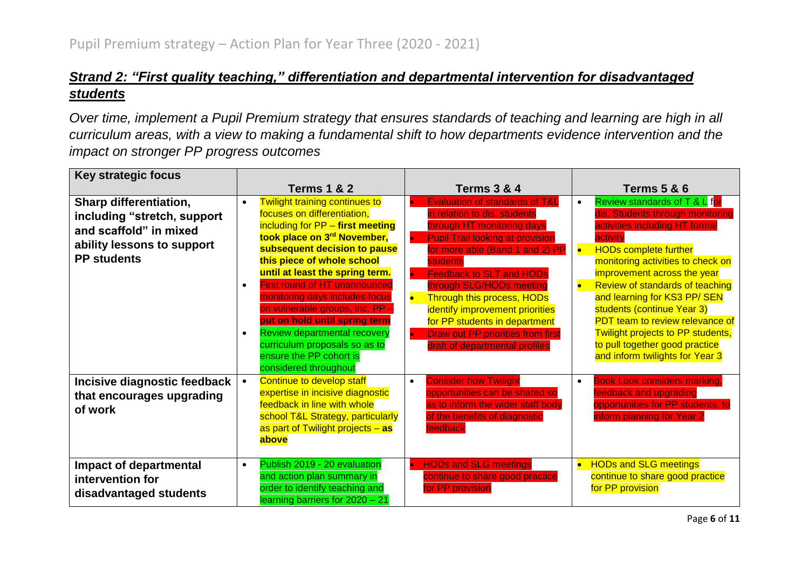#### *Strand 2: "First quality teaching," differentiation and departmental intervention for disadvantaged students*

*Over time, implement a Pupil Premium strategy that ensures standards of teaching and learning are high in all curriculum areas, with a view to making a fundamental shift to how departments evidence intervention and the impact on stronger PP progress outcomes*

| <b>Key strategic focus</b>                                                                                                          |                                                                                                                                                                                                                                                                                                                                                                                                                                                                                                                                                                       |                                                                                                                                                                                                                                                                                                                                                                                                                                                                                                |                                                                                                                                                                                                                                                                                                                                                                                                                                                                                            |
|-------------------------------------------------------------------------------------------------------------------------------------|-----------------------------------------------------------------------------------------------------------------------------------------------------------------------------------------------------------------------------------------------------------------------------------------------------------------------------------------------------------------------------------------------------------------------------------------------------------------------------------------------------------------------------------------------------------------------|------------------------------------------------------------------------------------------------------------------------------------------------------------------------------------------------------------------------------------------------------------------------------------------------------------------------------------------------------------------------------------------------------------------------------------------------------------------------------------------------|--------------------------------------------------------------------------------------------------------------------------------------------------------------------------------------------------------------------------------------------------------------------------------------------------------------------------------------------------------------------------------------------------------------------------------------------------------------------------------------------|
|                                                                                                                                     | <b>Terms 1 &amp; 2</b>                                                                                                                                                                                                                                                                                                                                                                                                                                                                                                                                                | <b>Terms 3 &amp; 4</b>                                                                                                                                                                                                                                                                                                                                                                                                                                                                         | <b>Terms 5 &amp; 6</b>                                                                                                                                                                                                                                                                                                                                                                                                                                                                     |
| Sharp differentiation,<br>including "stretch, support<br>and scaffold" in mixed<br>ability lessons to support<br><b>PP students</b> | <b>Twilight training continues to</b><br>$\bullet$<br>focuses on differentiation,<br>including for PP - first meeting<br>took place on 3 <sup>rd</sup> November,<br>subsequent decision to pause<br>this piece of whole school<br>until at least the spring term.<br><b>First round of HT unannounced</b><br>$\bullet$<br>monitoring days includes focus<br>on vulnerable groups, inc. PP -<br>put on hold until spring term<br><b>Review departmental recovery</b><br>$\bullet$<br>curriculum proposals so as to<br>ensure the PP cohort is<br>considered throughout | <b>Evaluation of standards of T&amp;L</b><br>in relation to dis. students<br>through HT monitoring days<br><b>Pupil Trail looking at provision</b><br>$\bullet$<br>for more able (Band 1 and 2) PP<br>students<br><b>Feedback to SLT and HODs</b><br>$\bullet$<br>through SLG/HODs meeting<br>$\bullet$<br><b>Through this process, HODs</b><br>identify improvement priorities<br>for PP students in department<br><b>Draw out PP priorities from first</b><br>draft of departmental profiles | Review standards of T & L for<br>$\bullet$<br>dis. Students through monitoring<br>activities including HT formal<br>activity<br><b>HODs complete further</b><br>$\bullet$<br>monitoring activities to check on<br>improvement across the year<br>Review of standards of teaching<br>and learning for KS3 PP/SEN<br>students (continue Year 3)<br>PDT team to review relevance of<br>Twilight projects to PP students,<br>to pull together good practice<br>and inform twilights for Year 3 |
| Incisive diagnostic feedback<br>that encourages upgrading<br>of work                                                                | <b>Continue to develop staff</b><br>$\bullet$<br>expertise in incisive diagnostic<br>feedback in line with whole<br>school T&L Strategy, particularly<br>as part of Twilight projects - as<br>above<br>Publish 2019 - 20 evaluation                                                                                                                                                                                                                                                                                                                                   | <b>Consider how Twilight</b><br>$\bullet$<br>opportunities can be shared so<br>as to inform the wider staff body<br>of the benefits of diagnostic<br>feedback                                                                                                                                                                                                                                                                                                                                  | <b>Book Look considers marking,</b><br>feedback and upgrading<br>opportunities for PP students, to<br>inform planning for Year 2                                                                                                                                                                                                                                                                                                                                                           |
| Impact of departmental<br>intervention for<br>disadvantaged students                                                                | $\bullet$<br>and action plan summary in<br>order to identify teaching and<br>learning barriers for 2020 - 21                                                                                                                                                                                                                                                                                                                                                                                                                                                          | <b>HODs and SLG meetings</b><br>$\bullet$<br>continue to share good practice<br>for PP provision                                                                                                                                                                                                                                                                                                                                                                                               | <b>HODs and SLG meetings</b><br>continue to share good practice<br>for PP provision                                                                                                                                                                                                                                                                                                                                                                                                        |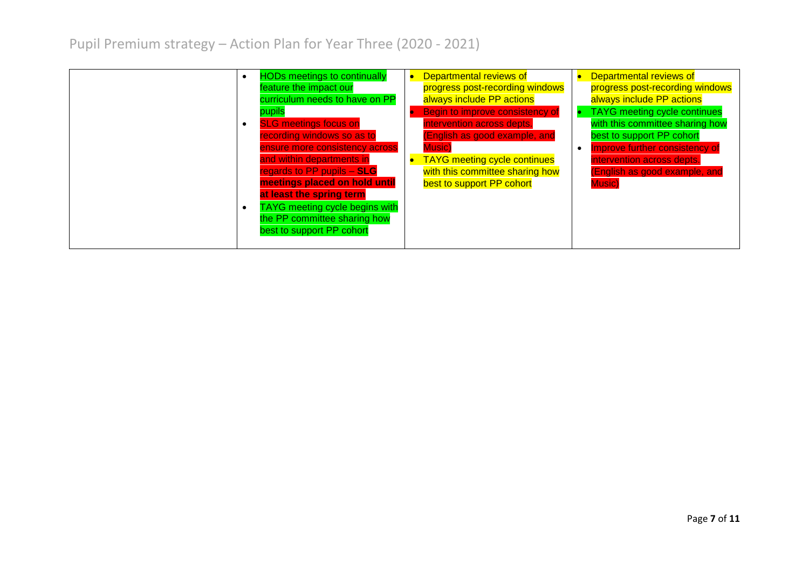Pupil Premium strategy – Action Plan for Year Three (2020 - 2021)

| <b>HODs meetings to continually</b><br>feature the impact our<br>curriculum needs to have on PP<br>pupils<br><b>SLG meetings focus on</b><br>$\bullet$<br>recording windows so as to<br>ensure more consistency across<br>and within departments in<br>regards to PP pupils - SLG<br>meetings placed on hold until<br>at least the spring term | Departmental reviews of<br>progress post-recording windows<br>always include PP actions<br>Begin to improve consistency of<br>intervention across depts.<br>(English as good example, and<br><b>Music</b> )<br><b>TAYG</b> meeting cycle continues<br>with this committee sharing how<br>best to support PP cohort | Departmental reviews of<br>progress post-recording windows<br>always include PP actions<br><b>TAYG</b> meeting cycle continues<br>with this committee sharing how<br>best to support PP cohort<br>Improve further consistency of<br>intervention across depts.<br>(English as good example, and<br><b>Music</b> ) |
|------------------------------------------------------------------------------------------------------------------------------------------------------------------------------------------------------------------------------------------------------------------------------------------------------------------------------------------------|--------------------------------------------------------------------------------------------------------------------------------------------------------------------------------------------------------------------------------------------------------------------------------------------------------------------|-------------------------------------------------------------------------------------------------------------------------------------------------------------------------------------------------------------------------------------------------------------------------------------------------------------------|
| <b>TAYG</b> meeting cycle begins with<br>$\bullet$<br>the PP committee sharing how<br>best to support PP cohort                                                                                                                                                                                                                                |                                                                                                                                                                                                                                                                                                                    |                                                                                                                                                                                                                                                                                                                   |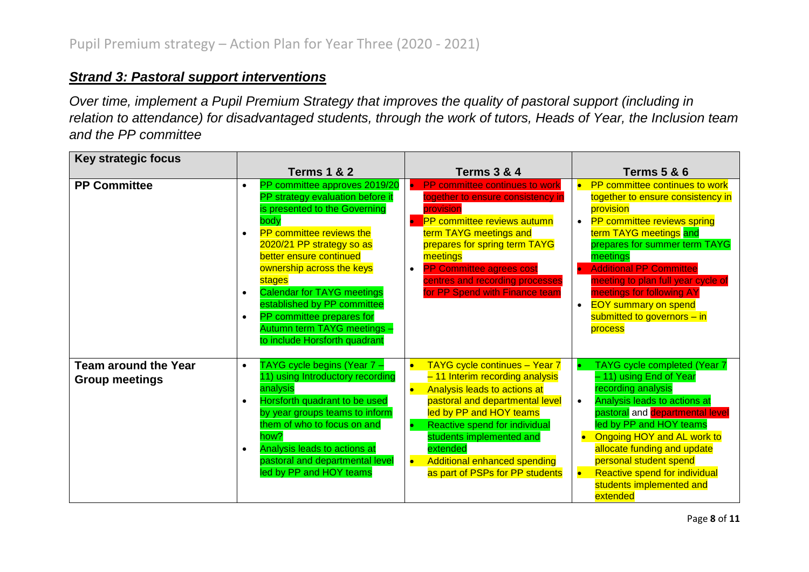#### *Strand 3: Pastoral support interventions*

*Over time, implement a Pupil Premium Strategy that improves the quality of pastoral support (including in relation to attendance) for disadvantaged students, through the work of tutors, Heads of Year, the Inclusion team and the PP committee*

| <b>Key strategic focus</b>                           |                                                                                                                                                                                                                                                                                                                                                                                                                                                                   |                                                                                                                                                                                                                                                                                                                                                   |                                                                                                                                                                                                                                                                                                                                                                        |
|------------------------------------------------------|-------------------------------------------------------------------------------------------------------------------------------------------------------------------------------------------------------------------------------------------------------------------------------------------------------------------------------------------------------------------------------------------------------------------------------------------------------------------|---------------------------------------------------------------------------------------------------------------------------------------------------------------------------------------------------------------------------------------------------------------------------------------------------------------------------------------------------|------------------------------------------------------------------------------------------------------------------------------------------------------------------------------------------------------------------------------------------------------------------------------------------------------------------------------------------------------------------------|
|                                                      | <b>Terms 1 &amp; 2</b>                                                                                                                                                                                                                                                                                                                                                                                                                                            | <b>Terms 3 &amp; 4</b>                                                                                                                                                                                                                                                                                                                            | <b>Terms 5 &amp; 6</b>                                                                                                                                                                                                                                                                                                                                                 |
| <b>PP Committee</b>                                  | PP committee approves 2019/20<br>$\bullet$<br>PP strategy evaluation before it<br>is presented to the Governing<br>body<br><b>PP</b> committee reviews the<br>$\bullet$<br>2020/21 PP strategy so as<br>better ensure continued<br>ownership across the keys<br>stages<br><b>Calendar for TAYG meetings</b><br>$\bullet$<br>established by PP committee<br>PP committee prepares for<br>$\bullet$<br>Autumn term TAYG meetings -<br>to include Horsforth quadrant | PP committee continues to work<br>together to ensure consistency in<br>provision<br><b>PP</b> committee reviews autumn<br>term TAYG meetings and<br>prepares for spring term TAYG<br>meetings<br><b>PP Committee agrees cost</b><br>centres and recording processes<br>for PP Spend with Finance team                                             | PP committee continues to work<br>together to ensure consistency in<br>provision<br>• PP committee reviews spring<br>term TAYG meetings and<br>prepares for summer term TAYG<br>meetings<br><b>Additional PP Committee</b><br>meeting to plan full year cycle of<br>meetings for following AY<br><b>EOY</b> summary on spend<br>submitted to governors - in<br>process |
| <b>Team around the Year</b><br><b>Group meetings</b> | TAYG cycle begins (Year 7 -<br>$\bullet$<br>11) using Introductory recording<br>analysis<br>Horsforth quadrant to be used<br>$\bullet$<br>by year groups teams to inform<br>them of who to focus on and<br>how?<br>Analysis leads to actions at<br>$\bullet$<br>pastoral and departmental level<br>led by PP and HOY teams                                                                                                                                        | TAYG cycle continues - Year 7<br>$\bullet$<br>- 11 Interim recording analysis<br>Analysis leads to actions at<br>$\bullet$<br>pastoral and departmental level<br>led by PP and HOY teams<br>Reactive spend for individual<br>students implemented and<br>extended<br>$\bullet$<br>Additional enhanced spending<br>as part of PSPs for PP students | TAYG cycle completed (Year 7<br>- 11) using End of Year<br>recording analysis<br>Analysis leads to actions at<br><mark>pastoral</mark> and <mark>departmental level</mark><br>led by PP and HOY teams<br>Ongoing HOY and AL work to<br>allocate funding and update<br>personal student spend<br>Reactive spend for individual<br>students implemented and<br>extended  |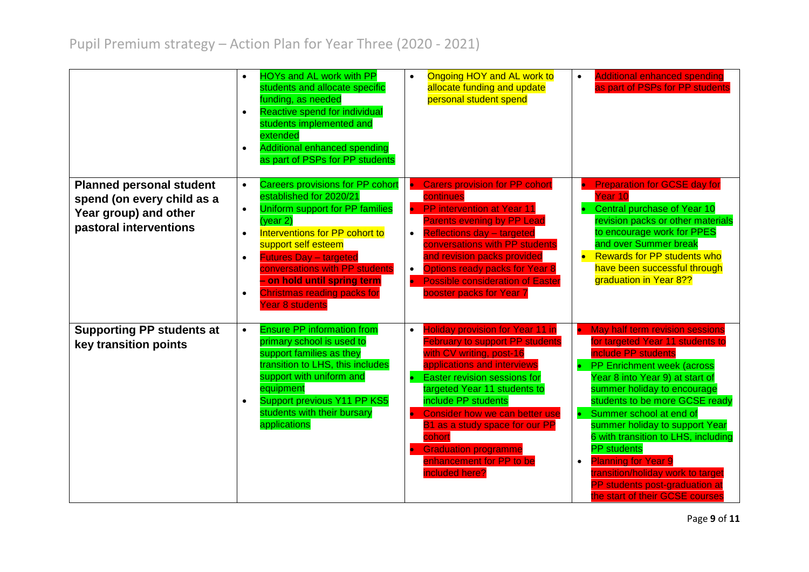|                                                                                                                  | $\bullet$<br>$\bullet$<br>$\bullet$                           | <b>HOYs and AL work with PP</b><br>students and allocate specific<br>funding, as needed<br>Reactive spend for individual<br>students implemented and<br>extended<br><b>Additional enhanced spending</b><br>as part of PSPs for PP students                                                                                                             | $\bullet$                                        | Ongoing HOY and AL work to<br>allocate funding and update<br>personal student spend                                                                                                                                                                                                                                                                                                            | $\bullet$ | <b>Additional enhanced spending</b><br>as part of PSPs for PP students                                                                                                                                                                                                                                                                                                                                                                                                                                  |
|------------------------------------------------------------------------------------------------------------------|---------------------------------------------------------------|--------------------------------------------------------------------------------------------------------------------------------------------------------------------------------------------------------------------------------------------------------------------------------------------------------------------------------------------------------|--------------------------------------------------|------------------------------------------------------------------------------------------------------------------------------------------------------------------------------------------------------------------------------------------------------------------------------------------------------------------------------------------------------------------------------------------------|-----------|---------------------------------------------------------------------------------------------------------------------------------------------------------------------------------------------------------------------------------------------------------------------------------------------------------------------------------------------------------------------------------------------------------------------------------------------------------------------------------------------------------|
| <b>Planned personal student</b><br>spend (on every child as a<br>Year group) and other<br>pastoral interventions | $\bullet$<br>$\bullet$<br>$\bullet$<br>$\bullet$<br>$\bullet$ | <b>Careers provisions for PP cohort</b><br>established for 2020/21<br>Uniform support for PP families<br>$(\text{year } 2)$<br>Interventions for PP cohort to<br>support self esteem<br><b>Futures Day - targeted</b><br>conversations with PP students<br>- on hold until spring term<br><b>Christmas reading packs for</b><br><b>Year 8 students</b> | $\bullet$<br>$\bullet$<br>$\bullet$<br>$\bullet$ | <b>Carers provision for PP cohort</b><br>continues<br>• PP intervention at Year 11<br><b>Parents evening by PP Lead</b><br><b>Reflections day - targeted</b><br>conversations with PP students<br>and revision packs provided<br>Options ready packs for Year 8<br><b>Possible consideration of Easter</b><br>booster packs for Year 7                                                         |           | <b>Preparation for GCSE day for</b><br>Year 10<br>Central purchase of Year 10<br>revision packs or other materials<br>to encourage work for PPES<br>and over Summer break<br><b>Rewards for PP students who</b><br>$\bullet$<br>have been successful through<br>graduation in Year 8??                                                                                                                                                                                                                  |
| <b>Supporting PP students at</b><br>key transition points                                                        | $\bullet$<br>$\bullet$                                        | <b>Ensure PP information from</b><br>primary school is used to<br>support families as they<br>transition to LHS, this includes<br>support with uniform and<br>equipment<br>Support previous Y11 PP KS5<br>students with their bursary<br>applications                                                                                                  | $\bullet$<br>$\bullet$                           | <b>Holiday provision for Year 11 in</b><br><b>February to support PP students</b><br>with CV writing, post-16<br>applications and interviews<br>Easter revision sessions for<br>targeted Year 11 students to<br>include PP students<br>Consider how we can better use<br>B1 as a study space for our PP<br>cohort<br><b>Graduation programme</b><br>enhancement for PP to be<br>included here? | $\bullet$ | • May half term revision sessions<br>for targeted Year 11 students to<br>include PP students<br><b>PP Enrichment week (across</b><br>Year 8 into Year 9) at start of<br>summer holiday to encourage<br>students to be more GCSE ready<br>Summer school at end of<br>summer holiday to support Year<br>6 with transition to LHS, including<br><b>PP</b> students<br><b>Planning for Year 9</b><br>transition/holiday work to target<br>PP students post-graduation at<br>the start of their GCSE courses |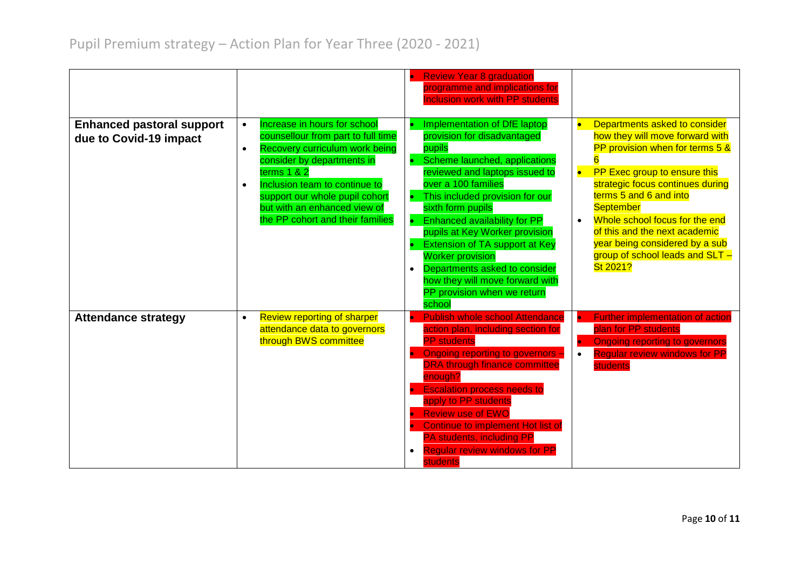|                                                            |                                                                                                                                                                                                                                                                                                                                   | • Review Year 8 graduation<br>programme and implications for<br><b>Inclusion work with PP students</b>                                                                                                                                                                                                                                                                                                                                                                                                                              |                                                                                                                                                                                                                                                                                                                                                                                        |
|------------------------------------------------------------|-----------------------------------------------------------------------------------------------------------------------------------------------------------------------------------------------------------------------------------------------------------------------------------------------------------------------------------|-------------------------------------------------------------------------------------------------------------------------------------------------------------------------------------------------------------------------------------------------------------------------------------------------------------------------------------------------------------------------------------------------------------------------------------------------------------------------------------------------------------------------------------|----------------------------------------------------------------------------------------------------------------------------------------------------------------------------------------------------------------------------------------------------------------------------------------------------------------------------------------------------------------------------------------|
| <b>Enhanced pastoral support</b><br>due to Covid-19 impact | Increase in hours for school<br>$\bullet$<br>counsellour from part to full time<br>Recovery curriculum work being<br>$\bullet$<br>consider by departments in<br>terms $1 & 2$<br>Inclusion team to continue to<br>$\bullet$<br>support our whole pupil cohort<br>but with an enhanced view of<br>the PP cohort and their families | Implementation of DfE laptop<br>$\bullet$<br>provision for disadvantaged<br>pupils<br>Scheme launched, applications<br>$\bullet$<br>reviewed and laptops issued to<br>over a 100 families<br>This included provision for our<br>٠<br>sixth form pupils<br>Enhanced availability for PP<br>$\bullet$<br>pupils at Key Worker provision<br><b>Extension of TA support at Key</b><br><b>Worker provision</b><br>Departments asked to consider<br>$\bullet$<br>how they will move forward with<br>PP provision when we return<br>school | Departments asked to consider<br>how they will move forward with<br>PP provision when for terms 5 &<br>PP Exec group to ensure this<br>$\bullet$<br>strategic focus continues during<br>terms 5 and 6 and into<br><b>September</b><br>Whole school focus for the end<br>of this and the next academic<br>year being considered by a sub<br>group of school leads and SLT -<br>St 2021? |
| <b>Attendance strategy</b>                                 | <b>Review reporting of sharper</b><br>$\bullet$<br>attendance data to governors<br>through BWS committee                                                                                                                                                                                                                          | <b>Publish whole school Attendance</b><br>$\bullet$<br>action plan, including section for<br><b>PP</b> students<br>Ongoing reporting to governors -<br>$\bullet$<br><b>DRA through finance committee</b><br>enough?<br><b>Escalation process needs to</b><br>apply to PP students<br><b>Review use of EWO</b><br>Continue to implement Hot list of<br><b>PA students, including PP</b><br><b>Regular review windows for PP</b><br>$\bullet$<br><b>students</b>                                                                      | <b>Further implementation of action</b><br>plan for PP students<br><b>Ongoing reporting to governors</b><br><b>Regular review windows for PP</b><br>$\bullet$<br><b>students</b>                                                                                                                                                                                                       |